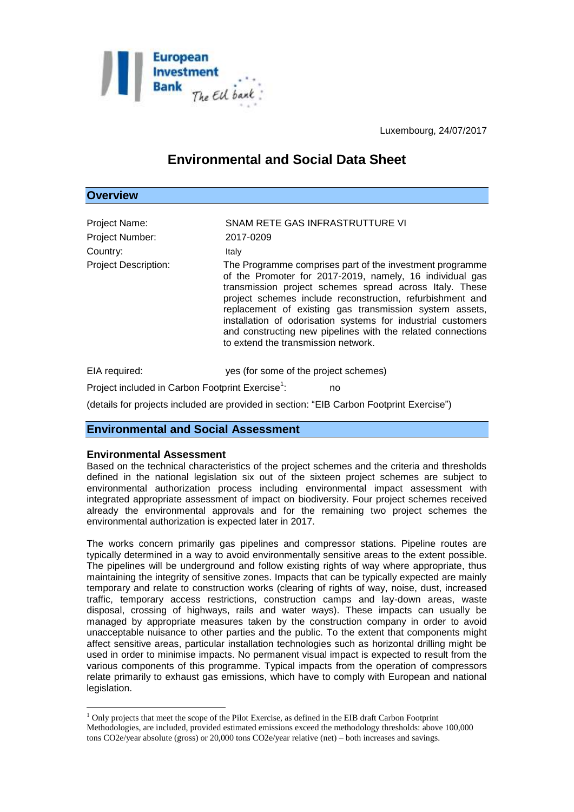

Luxembourg, 24/07/2017

# **Environmental and Social Data Sheet**

| <b>Overview</b>                                                             |                                                                                                                                                                                                                                                                                                                                                                                                                   |
|-----------------------------------------------------------------------------|-------------------------------------------------------------------------------------------------------------------------------------------------------------------------------------------------------------------------------------------------------------------------------------------------------------------------------------------------------------------------------------------------------------------|
| Project Name:<br>Project Number:<br>Country:<br><b>Project Description:</b> | SNAM RETE GAS INFRASTRUTTURE VI<br>2017-0209<br>Italy<br>The Programme comprises part of the investment programme                                                                                                                                                                                                                                                                                                 |
|                                                                             | of the Promoter for 2017-2019, namely, 16 individual gas<br>transmission project schemes spread across Italy. These<br>project schemes include reconstruction, refurbishment and<br>replacement of existing gas transmission system assets,<br>installation of odorisation systems for industrial customers<br>and constructing new pipelines with the related connections<br>to extend the transmission network. |
| EIA required:                                                               | yes (for some of the project schemes)                                                                                                                                                                                                                                                                                                                                                                             |
| Project included in Carbon Footprint Exercise <sup>1</sup> :<br>no          |                                                                                                                                                                                                                                                                                                                                                                                                                   |

(details for projects included are provided in section: "EIB Carbon Footprint Exercise")

# **Environmental and Social Assessment**

# **Environmental Assessment**

1

Based on the technical characteristics of the project schemes and the criteria and thresholds defined in the national legislation six out of the sixteen project schemes are subject to environmental authorization process including environmental impact assessment with integrated appropriate assessment of impact on biodiversity. Four project schemes received already the environmental approvals and for the remaining two project schemes the environmental authorization is expected later in 2017.

The works concern primarily gas pipelines and compressor stations. Pipeline routes are typically determined in a way to avoid environmentally sensitive areas to the extent possible. The pipelines will be underground and follow existing rights of way where appropriate, thus maintaining the integrity of sensitive zones. Impacts that can be typically expected are mainly temporary and relate to construction works (clearing of rights of way, noise, dust, increased traffic, temporary access restrictions, construction camps and lay-down areas, waste disposal, crossing of highways, rails and water ways). These impacts can usually be managed by appropriate measures taken by the construction company in order to avoid unacceptable nuisance to other parties and the public. To the extent that components might affect sensitive areas, particular installation technologies such as horizontal drilling might be used in order to minimise impacts. No permanent visual impact is expected to result from the various components of this programme. Typical impacts from the operation of compressors relate primarily to exhaust gas emissions, which have to comply with European and national legislation.

 $<sup>1</sup>$  Only projects that meet the scope of the Pilot Exercise, as defined in the EIB draft Carbon Footprint</sup> Methodologies, are included, provided estimated emissions exceed the methodology thresholds: above 100,000 tons CO2e/year absolute (gross) or 20,000 tons CO2e/year relative (net) – both increases and savings.